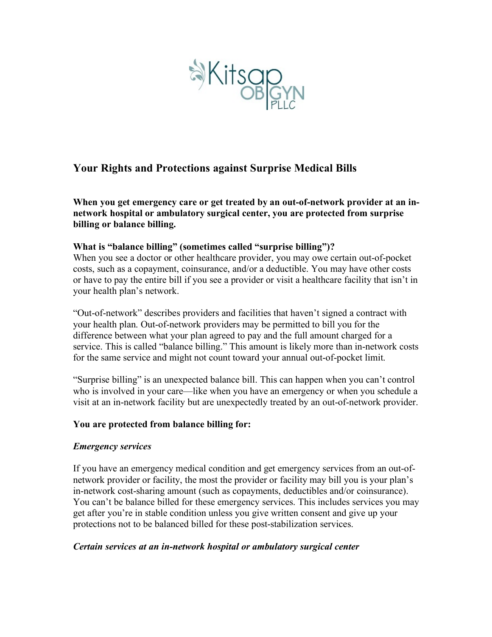

# **Your Rights and Protections against Surprise Medical Bills**

**When you get emergency care or get treated by an out-of-network provider at an innetwork hospital or ambulatory surgical center, you are protected from surprise billing or balance billing.** 

## **What is "balance billing" (sometimes called "surprise billing")?**

When you see a doctor or other healthcare provider, you may owe certain out-of-pocket costs, such as a copayment, coinsurance, and/or a deductible. You may have other costs or have to pay the entire bill if you see a provider or visit a healthcare facility that isn't in your health plan's network.

"Out-of-network" describes providers and facilities that haven't signed a contract with your health plan. Out-of-network providers may be permitted to bill you for the difference between what your plan agreed to pay and the full amount charged for a service. This is called "balance billing." This amount is likely more than in-network costs for the same service and might not count toward your annual out-of-pocket limit.

"Surprise billing" is an unexpected balance bill. This can happen when you can't control who is involved in your care—like when you have an emergency or when you schedule a visit at an in-network facility but are unexpectedly treated by an out-of-network provider.

## **You are protected from balance billing for:**

## *Emergency services*

If you have an emergency medical condition and get emergency services from an out-ofnetwork provider or facility, the most the provider or facility may bill you is your plan's in-network cost-sharing amount (such as copayments, deductibles and/or coinsurance). You can't be balance billed for these emergency services. This includes services you may get after you're in stable condition unless you give written consent and give up your protections not to be balanced billed for these post-stabilization services.

## *Certain services at an in-network hospital or ambulatory surgical center*